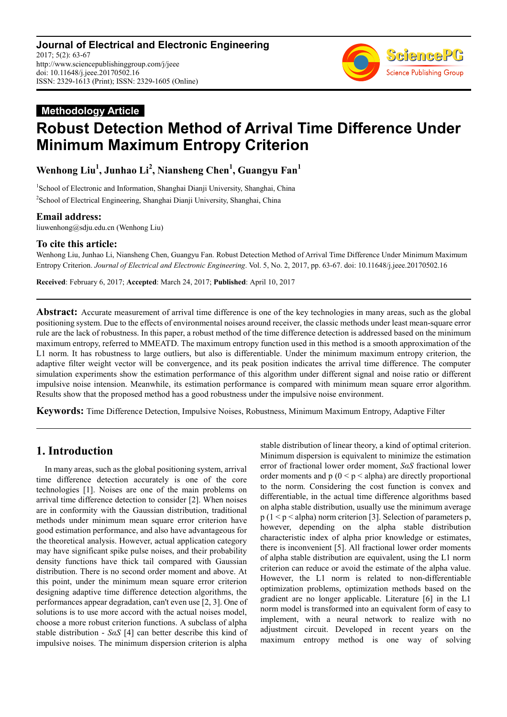

# **Methodology Article Robust Detection Method of Arrival Time Difference Under Minimum Maximum Entropy Criterion**

**Wenhong Liu<sup>1</sup> , Junhao Li<sup>2</sup> , Niansheng Chen<sup>1</sup> , Guangyu Fan<sup>1</sup>**

<sup>1</sup>School of Electronic and Information, Shanghai Dianji University, Shanghai, China <sup>2</sup> School of Electrical Engineering, Shanghai Dianji University, Shanghai, China

### **Email address:**

liuwenhong@sdju.edu.cn (Wenhong Liu)

### **To cite this article:**

Wenhong Liu, Junhao Li, Niansheng Chen, Guangyu Fan. Robust Detection Method of Arrival Time Difference Under Minimum Maximum Entropy Criterion. *Journal of Electrical and Electronic Engineering*. Vol. 5, No. 2, 2017, pp. 63-67. doi: 10.11648/j.jeee.20170502.16

**Received**: February 6, 2017; **Accepted**: March 24, 2017; **Published**: April 10, 2017

**Abstract:** Accurate measurement of arrival time difference is one of the key technologies in many areas, such as the global positioning system. Due to the effects of environmental noises around receiver, the classic methods under least mean-square error rule are the lack of robustness. In this paper, a robust method of the time difference detection is addressed based on the minimum maximum entropy, referred to MMEATD. The maximum entropy function used in this method is a smooth approximation of the L1 norm. It has robustness to large outliers, but also is differentiable. Under the minimum maximum entropy criterion, the adaptive filter weight vector will be convergence, and its peak position indicates the arrival time difference. The computer simulation experiments show the estimation performance of this algorithm under different signal and noise ratio or different impulsive noise intension. Meanwhile, its estimation performance is compared with minimum mean square error algorithm. Results show that the proposed method has a good robustness under the impulsive noise environment.

**Keywords:** Time Difference Detection, Impulsive Noises, Robustness, Minimum Maximum Entropy, Adaptive Filter

# **1. Introduction**

In many areas, such as the global positioning system, arrival time difference detection accurately is one of the core technologies [1]. Noises are one of the main problems on arrival time difference detection to consider [2]. When noises are in conformity with the Gaussian distribution, traditional methods under minimum mean square error criterion have good estimation performance, and also have advantageous for the theoretical analysis. However, actual application category may have significant spike pulse noises, and their probability density functions have thick tail compared with Gaussian distribution. There is no second order moment and above. At this point, under the minimum mean square error criterion designing adaptive time difference detection algorithms, the performances appear degradation, can't even use [2, 3]. One of solutions is to use more accord with the actual noises model choose a more robust criterion functions. A subclass of alpha stable distribution - *SαS* [4] can better describe this kind of impulsive noises. The minimum dispersion criterion is alpha stable distribution of linear theory, a kind of optimal criterion. Minimum dispersion is equivalent to minimize the estimation error of fractional lower order moment, *SαS* fractional lower order moments and  $p(0 < p < a$ lpha) are directly proportional to the norm. Considering the cost function is convex and differentiable, in the actual time difference algorithms based on alpha stable distribution, usually use the minimum average  $p(1 \le p \le alpha)$  norm criterion [3]. Selection of parameters p, however, depending on the alpha stable distribution characteristic index of alpha prior knowledge or estimates, there is inconvenient [5]. All fractional lower order moments of alpha stable distribution are equivalent, using the L1 norm criterion can reduce or avoid the estimate of the alpha value. However, the L1 norm is related to non-differentiable optimization problems, optimization methods based on the gradient are no longer applicable. Literature [6] in the L1 norm model is transformed into an equivalent form of easy to implement, with a neural network to realize with no adjustment circuit. Developed in recent years on the maximum entropy method is one way of solving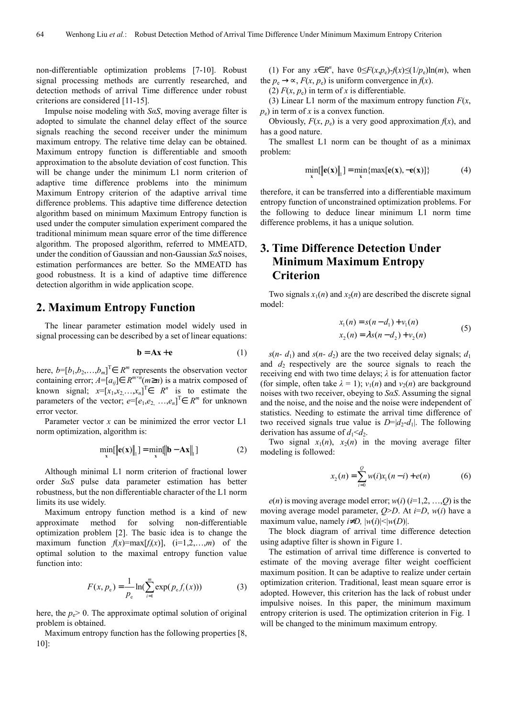non-differentiable optimization problems [7-10]. Robust signal processing methods are currently researched, and detection methods of arrival Time difference under robust criterions are considered [11-15].

Impulse noise modeling with *SαS*, moving average filter is adopted to simulate the channel delay effect of the source signals reaching the second receiver under the minimum maximum entropy. The relative time delay can be obtained. Maximum entropy function is differentiable and smooth approximation to the absolute deviation of cost function. This will be change under the minimum L1 norm criterion of adaptive time difference problems into the minimum Maximum Entropy criterion of the adaptive arrival time difference problems. This adaptive time difference detection algorithm based on minimum Maximum Entropy function is used under the computer simulation experiment compared the traditional minimum mean square error of the time difference algorithm. The proposed algorithm, referred to MMEATD, under the condition of Gaussian and non-Gaussian *SαS* noises, estimation performances are better. So the MMEATD has good robustness. It is a kind of adaptive time difference detection algorithm in wide application scope.

#### **2. Maximum Entropy Function**

The linear parameter estimation model widely used in signal processing can be described by a set of linear equations:

$$
\mathbf{b} = \mathbf{A}\mathbf{x} + \mathbf{e}
$$
 (1)

here,  $b=[b_1,b_2,...,b_m]^T \in R^m$  represents the observation vector containing error;  $A = [a_{ij}] \in R^{m \times n}$  *m*is a matrix composed of known signal;  $x=[x_1,x_2,\ldots,x_n]^T \in R^n$  is to estimate the parameters of the vector;  $e=[e_1,e_2, ..., e_n]^T \in R^m$  for unknown error vector.

Parameter vector *x* can be minimized the error vector L1 norm optimization, algorithm is:

$$
\min_{\mathbf{x}}[\|\mathbf{e}(\mathbf{x})\|_{1}] = \min_{\mathbf{x}}[\|\mathbf{b} - \mathbf{A}\mathbf{x}\|_{1}]\tag{2}
$$

Although minimal L1 norm criterion of fractional lower order *SαS* pulse data parameter estimation has better robustness, but the non differentiable character of the L1 norm limits its use widely.

Maximum entropy function method is a kind of new approximate method for solving non-differentiable optimization problem [2]. The basic idea is to change the maximum function  $f(x) = max[f_i(x)]$ ,  $(i=1,2,...,m)$  of the optimal solution to the maximal entropy function value function into:

$$
F(x, p_e) = \frac{1}{p_e} \ln(\sum_{i=1}^{m} \exp(p_e f_i(x)))
$$
 (3)

here, the  $p_e > 0$ . The approximate optimal solution of original problem is obtained.

Maximum entropy function has the following properties [8, 10]:

(1) For any  $x \in R^n$ , have  $0 \leq F(x, p_e) - f(x) \leq (1/p_e) \ln(m)$ , when the  $p_e \rightarrow \infty$ ,  $F(x, p_e)$  is uniform convergence in  $f(x)$ .

(2)  $F(x, p_e)$  in term of *x* is differentiable.

(3) Linear L1 norm of the maximum entropy function *F*(*x*,  $p_e$ ) in term of x is a convex function.

Obviously,  $F(x, p_e)$  is a very good approximation  $f(x)$ , and has a good nature.

The smallest L1 norm can be thought of as a minimax problem:

$$
\min_{\mathbf{x}}[\|\mathbf{e}(\mathbf{x})\|_{1}] = \min_{\mathbf{x}}\{\max[\mathbf{e}(\mathbf{x}), -\mathbf{e}(\mathbf{x})]\}\tag{4}
$$

therefore, it can be transferred into a differentiable maximum entropy function of unconstrained optimization problems. For the following to deduce linear minimum L1 norm time difference problems, it has a unique solution.

## **3. Time Difference Detection Under Minimum Maximum Entropy Criterion**

Two signals  $x_1(n)$  and  $x_2(n)$  are described the discrete signal model:

$$
x_1(n) = s(n - d_1) + v_1(n)
$$
  
\n
$$
x_2(n) = \lambda s(n - d_2) + v_2(n)
$$
 (5)

 $s(n-d_1)$  and  $s(n-d_2)$  are the two received delay signals;  $d_1$ and  $d_2$  respectively are the source signals to reach the receiving end with two time delays; *λ* is for attenuation factor (for simple, often take  $\lambda = 1$ );  $v_1(n)$  and  $v_2(n)$  are background noises with two receiver, obeying to *SαS*. Assuming the signal and the noise, and the noise and the noise were independent of statistics. Needing to estimate the arrival time difference of two received signals true value is  $D=|d_2-d_1|$ . The following derivation has assume of  $d_1 < d_2$ .

Two signal  $x_1(n)$ ,  $x_2(n)$  in the moving average filter modeling is followed:

$$
x_2(n) = \sum_{i=0}^{Q} w(i)x_i(n-i) + e(n)
$$
 (6)

 $e(n)$  is moving average model error;  $w(i)$  ( $i=1,2,...,Q$ ) is the moving average model parameter, *Q*>*D*. At *i*=*D*, *w*(*i*) have a maximum value, namely  $i \neq D$ ,  $|w(i)| \le |w(D)|$ .

The block diagram of arrival time difference detection using adaptive filter is shown in Figure 1.

The estimation of arrival time difference is converted to estimate of the moving average filter weight coefficient maximum position. It can be adaptive to realize under certain optimization criterion. Traditional, least mean square error is adopted. However, this criterion has the lack of robust under impulsive noises. In this paper, the minimum maximum entropy criterion is used. The optimization criterion in Fig. 1 will be changed to the minimum maximum entropy.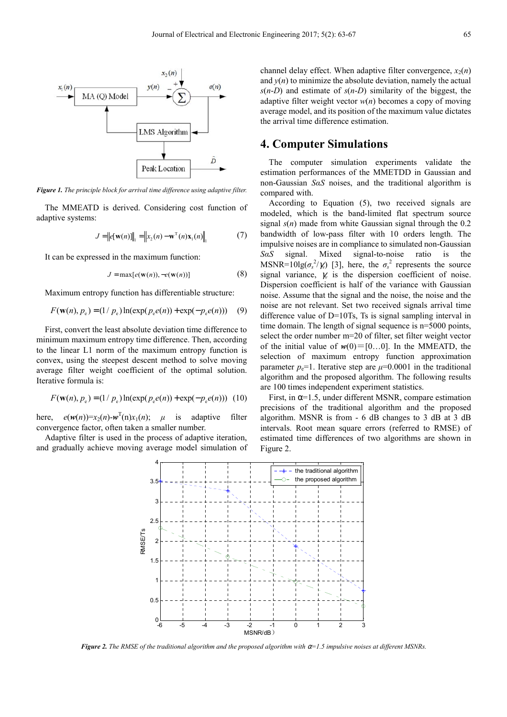

*Figure 1. The principle block for arrival time difference using adaptive filter.* 

The MMEATD is derived. Considering cost function of adaptive systems:

$$
J = ||e[w(n)]||_1 = ||x_2(n) - wT(n)x1(n)||_1
$$
 (7)

It can be expressed in the maximum function:

$$
J = \max[e(\mathbf{w}(n)), -e(\mathbf{w}(n))]
$$
 (8)

Maximum entropy function has differentiable structure:

$$
F(\mathbf{w}(n), p_e) = (1 / p_e) \ln(\exp(p_e e(n)) + \exp(-p_e e(n))) \quad (9)
$$

First, convert the least absolute deviation time difference to minimum maximum entropy time difference. Then, according to the linear L1 norm of the maximum entropy function is convex, using the steepest descent method to solve moving average filter weight coefficient of the optimal solution. Iterative formula is:

$$
F(\mathbf{w}(n), p_e) = (1 / p_e) \ln(\exp(p_e e(n)) + \exp(-p_e e(n))) \tag{10}
$$

here,  $e(w(n))=x_2(n)-w^T(n)x_1(n);$  *µ* is adaptive filter convergence factor, often taken a smaller number.

Adaptive filter is used in the process of adaptive iteration, and gradually achieve moving average model simulation of channel delay effect. When adaptive filter convergence,  $x_2(n)$ and  $y(n)$  to minimize the absolute deviation, namely the actual  $s(n-D)$  and estimate of  $s(n-D)$  similarity of the biggest, the adaptive filter weight vector  $w(n)$  becomes a copy of moving average model, and its position of the maximum value dictates the arrival time difference estimation.

### **4. Computer Simulations**

The computer simulation experiments validate the estimation performances of the MMETDD in Gaussian and non-Gaussian *SαS* noises, and the traditional algorithm is compared with.

According to Equation (5), two received signals are modeled, which is the band-limited flat spectrum source signal *s*(*n*) made from white Gaussian signal through the 0.2 bandwidth of low-pass filter with 10 orders length. The impulsive noises are in compliance to simulated non-Gaussian *SαS* signal. Mixed signal-to-noise ratio is the MSNR=10lg( $\sigma_s^2/\gamma_v$ ) [3], here, the  $\sigma_s^2$  represents the source signal variance,  $\chi$  is the dispersion coefficient of noise. Dispersion coefficient is half of the variance with Gaussian noise. Assume that the signal and the noise, the noise and the noise are not relevant. Set two received signals arrival time difference value of D=10Ts, Ts is signal sampling interval in time domain. The length of signal sequence is n=5000 points, select the order number m=20 of filter, set filter weight vector of the initial value of  $w(0) = [0...0]$ . In the MMEATD, the selection of maximum entropy function approximation parameter  $p_e$ =1. Iterative step are  $\mu$ =0.0001 in the traditional algorithm and the proposed algorithm. The following results are 100 times independent experiment statistics.

First, in  $\alpha$ =1.5, under different MSNR, compare estimation precisions of the traditional algorithm and the proposed algorithm. MSNR is from - 6 dB changes to 3 dB at 3 dB intervals. Root mean square errors (referred to RMSE) of estimated time differences of two algorithms are shown in Figure 2.



*Figure 2. The RMSE of the traditional algorithm and the proposed algorithm with* α*=1.5 impulsive noises at different MSNRs.*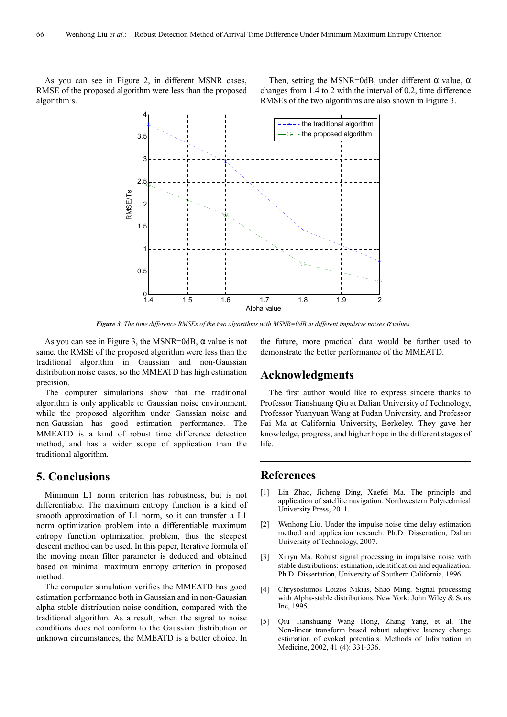As you can see in Figure 2, in different MSNR cases, RMSE of the proposed algorithm were less than the proposed algorithm's.

Then, setting the MSNR=0dB, under different  $\alpha$  value,  $\alpha$ changes from 1.4 to 2 with the interval of 0.2, time difference RMSEs of the two algorithms are also shown in Figure 3.



*Figure 3. The time difference RMSEs of the two algorithms with MSNR=0dB at different impulsive noises* α *values.* 

As you can see in Figure 3, the MSNR=0dB,  $\alpha$  value is not same, the RMSE of the proposed algorithm were less than the traditional algorithm in Gaussian and non-Gaussian distribution noise cases, so the MMEATD has high estimation precision.

The computer simulations show that the traditional algorithm is only applicable to Gaussian noise environment, while the proposed algorithm under Gaussian noise and non-Gaussian has good estimation performance. The MMEATD is a kind of robust time difference detection method, and has a wider scope of application than the traditional algorithm.

### **5. Conclusions**

Minimum L1 norm criterion has robustness, but is not differentiable. The maximum entropy function is a kind of smooth approximation of L1 norm, so it can transfer a L1 norm optimization problem into a differentiable maximum entropy function optimization problem, thus the steepest descent method can be used. In this paper, Iterative formula of the moving mean filter parameter is deduced and obtained based on minimal maximum entropy criterion in proposed method.

The computer simulation verifies the MMEATD has good estimation performance both in Gaussian and in non-Gaussian alpha stable distribution noise condition, compared with the traditional algorithm. As a result, when the signal to noise conditions does not conform to the Gaussian distribution or unknown circumstances, the MMEATD is a better choice. In the future, more practical data would be further used to demonstrate the better performance of the MMEATD.

#### **Acknowledgments**

The first author would like to express sincere thanks to Professor Tianshuang Qiu at Dalian University of Technology, Professor Yuanyuan Wang at Fudan University, and Professor Fai Ma at California University, Berkeley. They gave her knowledge, progress, and higher hope in the different stages of life.

### **References**

- [1] Lin Zhao, Jicheng Ding, Xuefei Ma. The principle and application of satellite navigation. Northwestern Polytechnical University Press, 2011.
- [2] Wenhong Liu. Under the impulse noise time delay estimation method and application research. Ph.D. Dissertation, Dalian University of Technology, 2007.
- [3] Xinyu Ma. Robust signal processing in impulsive noise with stable distributions: estimation, identification and equalization. Ph.D. Dissertation, University of Southern California, 1996.
- [4] Chrysostomos Loizos Nikias, Shao Ming. Signal processing with Alpha-stable distributions. New York: John Wiley & Sons Inc, 1995.
- [5] Qiu Tianshuang Wang Hong, Zhang Yang, et al. The Non-linear transform based robust adaptive latency change estimation of evoked potentials. Methods of Information in Medicine, 2002, 41 (4): 331-336.